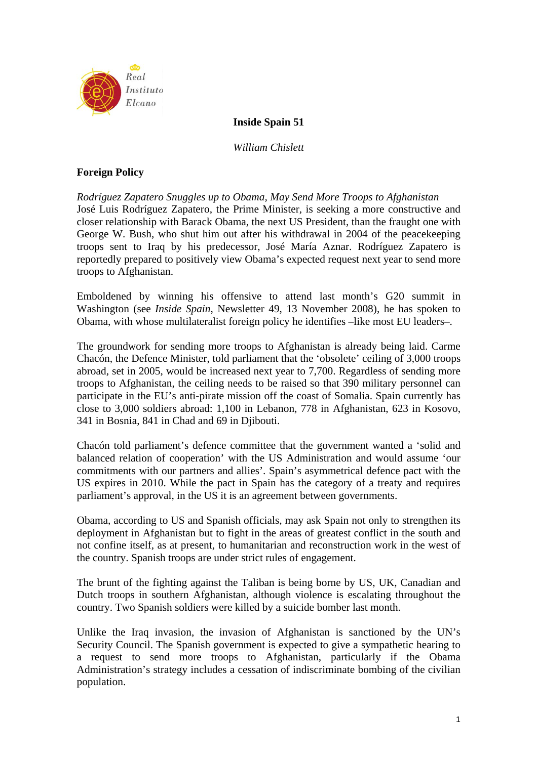

## **Inside Spain 51**

*William Chislett* 

# **Foreign Policy**

*Rodríguez Zapatero Snuggles up to Obama, May Send More Troops to Afghanistan*  José Luis Rodríguez Zapatero, the Prime Minister, is seeking a more constructive and closer relationship with Barack Obama, the next US President, than the fraught one with George W. Bush, who shut him out after his withdrawal in 2004 of the peacekeeping troops sent to Iraq by his predecessor, José María Aznar. Rodríguez Zapatero is reportedly prepared to positively view Obama's expected request next year to send more troops to Afghanistan.

Emboldened by winning his offensive to attend last month's G20 summit in Washington (see *Inside Spain*, Newsletter 49, 13 November 2008), he has spoken to Obama, with whose multilateralist foreign policy he identifies –like most EU leaders–.

The groundwork for sending more troops to Afghanistan is already being laid. Carme Chacón, the Defence Minister, told parliament that the 'obsolete' ceiling of 3,000 troops abroad, set in 2005, would be increased next year to 7,700. Regardless of sending more troops to Afghanistan, the ceiling needs to be raised so that 390 military personnel can participate in the EU's anti-pirate mission off the coast of Somalia. Spain currently has close to 3,000 soldiers abroad: 1,100 in Lebanon, 778 in Afghanistan, 623 in Kosovo, 341 in Bosnia, 841 in Chad and 69 in Djibouti.

Chacón told parliament's defence committee that the government wanted a 'solid and balanced relation of cooperation' with the US Administration and would assume 'our commitments with our partners and allies'. Spain's asymmetrical defence pact with the US expires in 2010. While the pact in Spain has the category of a treaty and requires parliament's approval, in the US it is an agreement between governments.

Obama, according to US and Spanish officials, may ask Spain not only to strengthen its deployment in Afghanistan but to fight in the areas of greatest conflict in the south and not confine itself, as at present, to humanitarian and reconstruction work in the west of the country. Spanish troops are under strict rules of engagement.

The brunt of the fighting against the Taliban is being borne by US, UK, Canadian and Dutch troops in southern Afghanistan, although violence is escalating throughout the country. Two Spanish soldiers were killed by a suicide bomber last month.

Unlike the Iraq invasion, the invasion of Afghanistan is sanctioned by the UN's Security Council. The Spanish government is expected to give a sympathetic hearing to a request to send more troops to Afghanistan, particularly if the Obama Administration's strategy includes a cessation of indiscriminate bombing of the civilian population.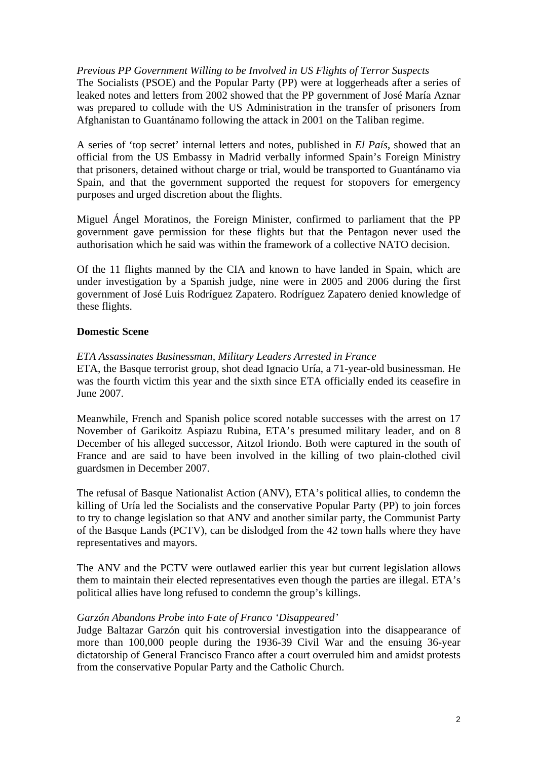*Previous PP Government Willing to be Involved in US Flights of Terror Suspects* 

The Socialists (PSOE) and the Popular Party (PP) were at loggerheads after a series of leaked notes and letters from 2002 showed that the PP government of José María Aznar was prepared to collude with the US Administration in the transfer of prisoners from Afghanistan to Guantánamo following the attack in 2001 on the Taliban regime.

A series of 'top secret' internal letters and notes, published in *El País*, showed that an official from the US Embassy in Madrid verbally informed Spain's Foreign Ministry that prisoners, detained without charge or trial, would be transported to Guantánamo via Spain, and that the government supported the request for stopovers for emergency purposes and urged discretion about the flights.

Miguel Ángel Moratinos, the Foreign Minister, confirmed to parliament that the PP government gave permission for these flights but that the Pentagon never used the authorisation which he said was within the framework of a collective NATO decision.

Of the 11 flights manned by the CIA and known to have landed in Spain, which are under investigation by a Spanish judge, nine were in 2005 and 2006 during the first government of José Luis Rodríguez Zapatero. Rodríguez Zapatero denied knowledge of these flights.

### **Domestic Scene**

### *ETA Assassinates Businessman, Military Leaders Arrested in France*

ETA, the Basque terrorist group, shot dead Ignacio Uría, a 71-year-old businessman. He was the fourth victim this year and the sixth since ETA officially ended its ceasefire in June 2007.

Meanwhile, French and Spanish police scored notable successes with the arrest on 17 November of Garikoitz Aspiazu Rubina, ETA's presumed military leader, and on 8 December of his alleged successor, Aitzol Iriondo. Both were captured in the south of France and are said to have been involved in the killing of two plain-clothed civil guardsmen in December 2007.

The refusal of Basque Nationalist Action (ANV), ETA's political allies, to condemn the killing of Uría led the Socialists and the conservative Popular Party (PP) to join forces to try to change legislation so that ANV and another similar party, the Communist Party of the Basque Lands (PCTV), can be dislodged from the 42 town halls where they have representatives and mayors.

The ANV and the PCTV were outlawed earlier this year but current legislation allows them to maintain their elected representatives even though the parties are illegal. ETA's political allies have long refused to condemn the group's killings.

### *Garzón Abandons Probe into Fate of Franco 'Disappeared'*

Judge Baltazar Garzón quit his controversial investigation into the disappearance of more than 100,000 people during the 1936-39 Civil War and the ensuing 36-year dictatorship of General Francisco Franco after a court overruled him and amidst protests from the conservative Popular Party and the Catholic Church.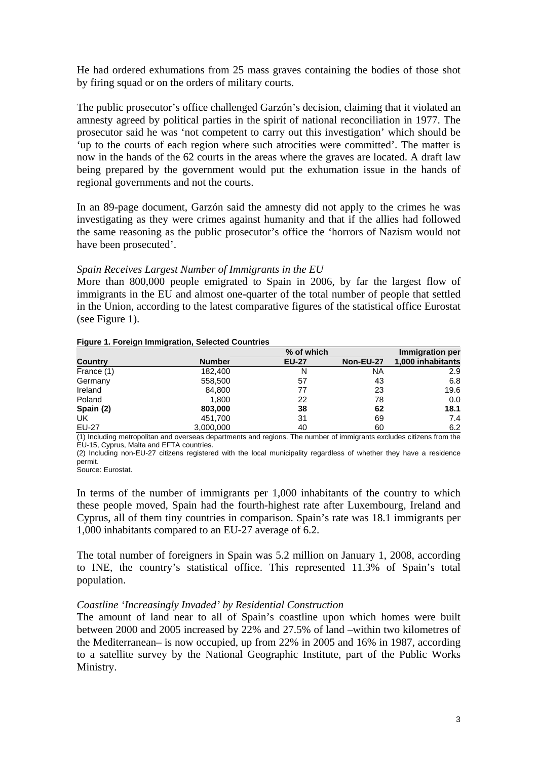He had ordered exhumations from 25 mass graves containing the bodies of those shot by firing squad or on the orders of military courts.

The public prosecutor's office challenged Garzón's decision, claiming that it violated an amnesty agreed by political parties in the spirit of national reconciliation in 1977. The prosecutor said he was 'not competent to carry out this investigation' which should be 'up to the courts of each region where such atrocities were committed'. The matter is now in the hands of the 62 courts in the areas where the graves are located. A draft law being prepared by the government would put the exhumation issue in the hands of regional governments and not the courts.

In an 89-page document, Garzón said the amnesty did not apply to the crimes he was investigating as they were crimes against humanity and that if the allies had followed the same reasoning as the public prosecutor's office the 'horrors of Nazism would not have been prosecuted'.

### *Spain Receives Largest Number of Immigrants in the EU*

More than 800,000 people emigrated to Spain in 2006, by far the largest flow of immigrants in the EU and almost one-quarter of the total number of people that settled in the Union, according to the latest comparative figures of the statistical office Eurostat (see Figure 1).

| Figure 1. Foreign Immigration, Selected Countries |  |
|---------------------------------------------------|--|
|                                                   |  |

|                |               | % of which   |           | <b>Immigration per</b> |
|----------------|---------------|--------------|-----------|------------------------|
| <b>Country</b> | <b>Number</b> | <b>EU-27</b> | Non-EU-27 | 1,000 inhabitants      |
| France (1)     | 182.400       | N            | NA        | 2.9                    |
| Germany        | 558,500       | 57           | 43        | 6.8                    |
| Ireland        | 84,800        | 77           | 23        | 19.6                   |
| Poland         | 1,800         | 22           | 78        | 0.0                    |
| Spain (2)      | 803,000       | 38           | 62        | 18.1                   |
| <b>UK</b>      | 451.700       | 31           | 69        | 7.4                    |
| <b>EU-27</b>   | 3,000,000     | 40           | 60        | 6.2                    |

(1) Including metropolitan and overseas departments and regions. The number of immigrants excludes citizens from the EU-15, Cyprus, Malta and EFTA countries.

(2) Including non-EU-27 citizens registered with the local municipality regardless of whether they have a residence permit.

Source: Eurostat.

In terms of the number of immigrants per 1,000 inhabitants of the country to which these people moved, Spain had the fourth-highest rate after Luxembourg, Ireland and Cyprus, all of them tiny countries in comparison. Spain's rate was 18.1 immigrants per 1,000 inhabitants compared to an EU-27 average of 6.2.

The total number of foreigners in Spain was 5.2 million on January 1, 2008, according to INE, the country's statistical office. This represented 11.3% of Spain's total population.

### *Coastline 'Increasingly Invaded' by Residential Construction*

The amount of land near to all of Spain's coastline upon which homes were built between 2000 and 2005 increased by 22% and 27.5% of land –within two kilometres of the Mediterranean– is now occupied, up from 22% in 2005 and 16% in 1987, according to a satellite survey by the National Geographic Institute, part of the Public Works Ministry.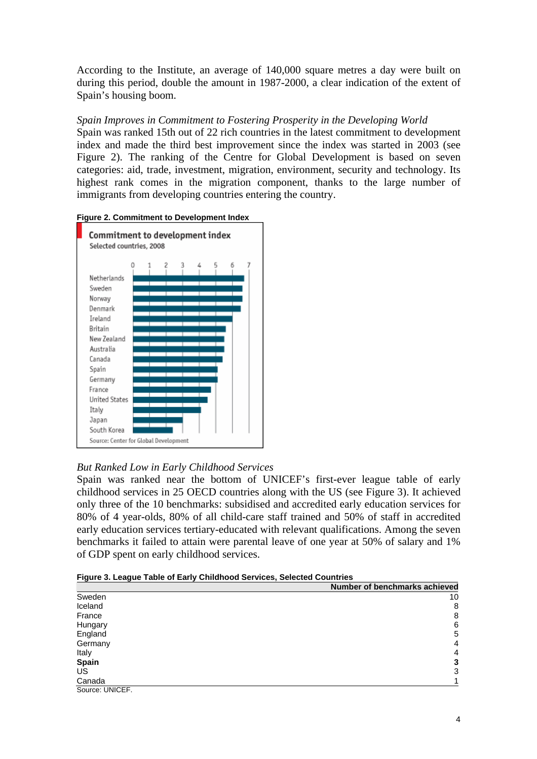According to the Institute, an average of 140,000 square metres a day were built on during this period, double the amount in 1987-2000, a clear indication of the extent of Spain's housing boom.

# *Spain Improves in Commitment to Fostering Prosperity in the Developing World*

Spain was ranked 15th out of 22 rich countries in the latest commitment to development index and made the third best improvement since the index was started in 2003 (see Figure 2). The ranking of the Centre for Global Development is based on seven categories: aid, trade, investment, migration, environment, security and technology. Its highest rank comes in the migration component, thanks to the large number of immigrants from developing countries entering the country.





# *But Ranked Low in Early Childhood Services*

Spain was ranked near the bottom of UNICEF's first-ever league table of early childhood services in 25 OECD countries along with the US (see Figure 3). It achieved only three of the 10 benchmarks: subsidised and accredited early education services for 80% of 4 year-olds, 80% of all child-care staff trained and 50% of staff in accredited early education services tertiary-educated with relevant qualifications. Among the seven benchmarks it failed to attain were parental leave of one year at 50% of salary and 1% of GDP spent on early childhood services.

|  |  | Figure 3. League Table of Early Childhood Services, Selected Countries |
|--|--|------------------------------------------------------------------------|

|                 | Number of benchmarks achieved |
|-----------------|-------------------------------|
| Sweden          | 10                            |
| Iceland         | 8                             |
| France          | 8                             |
| Hungary         | 6                             |
| England         | 5                             |
| Germany         | $\overline{4}$                |
| Italy           | 4                             |
| Spain           | 3                             |
| US              | 3                             |
| Canada          |                               |
| Source: UNICEF. |                               |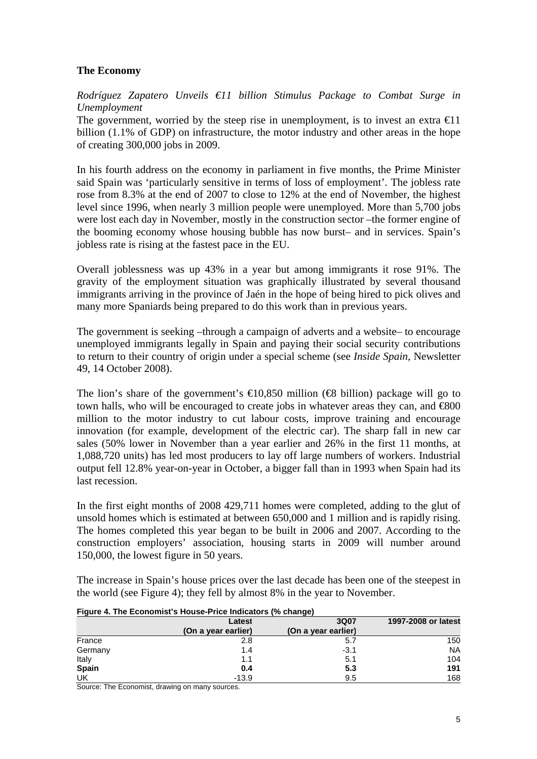# **The Economy**

*Rodríguez Zapatero Unveils €11 billion Stimulus Package to Combat Surge in Unemployment* 

The government, worried by the steep rise in unemployment, is to invest an extra  $\epsilon 11$ billion (1.1% of GDP) on infrastructure, the motor industry and other areas in the hope of creating 300,000 jobs in 2009.

In his fourth address on the economy in parliament in five months, the Prime Minister said Spain was 'particularly sensitive in terms of loss of employment'. The jobless rate rose from 8.3% at the end of 2007 to close to 12% at the end of November, the highest level since 1996, when nearly 3 million people were unemployed. More than 5,700 jobs were lost each day in November, mostly in the construction sector –the former engine of the booming economy whose housing bubble has now burst– and in services. Spain's jobless rate is rising at the fastest pace in the EU.

Overall joblessness was up 43% in a year but among immigrants it rose 91%. The gravity of the employment situation was graphically illustrated by several thousand immigrants arriving in the province of Jaén in the hope of being hired to pick olives and many more Spaniards being prepared to do this work than in previous years.

The government is seeking –through a campaign of adverts and a website– to encourage unemployed immigrants legally in Spain and paying their social security contributions to return to their country of origin under a special scheme (see *Inside Spain*, Newsletter 49, 14 October 2008).

The lion's share of the government's  $\in 0.850$  million ( $\infty$  billion) package will go to town halls, who will be encouraged to create jobs in whatever areas they can, and  $\epsilon$ 800 million to the motor industry to cut labour costs, improve training and encourage innovation (for example, development of the electric car). The sharp fall in new car sales (50% lower in November than a year earlier and 26% in the first 11 months, at 1,088,720 units) has led most producers to lay off large numbers of workers. Industrial output fell 12.8% year-on-year in October, a bigger fall than in 1993 when Spain had its last recession.

In the first eight months of 2008 429,711 homes were completed, adding to the glut of unsold homes which is estimated at between 650,000 and 1 million and is rapidly rising. The homes completed this year began to be built in 2006 and 2007. According to the construction employers' association, housing starts in 2009 will number around 150,000, the lowest figure in 50 years.

The increase in Spain's house prices over the last decade has been one of the steepest in the world (see Figure 4); they fell by almost 8% in the year to November.

|              | Latest              | 3Q07                | 1997-2008 or latest |
|--------------|---------------------|---------------------|---------------------|
|              | (On a year earlier) | (On a year earlier) |                     |
| France       | 2.8                 | 5.1                 | 150                 |
| Germany      | 1.4                 | $-3.1$              | <b>NA</b>           |
| Italy        | 1.1                 | 5.1                 | 104                 |
| <b>Spain</b> | 0.4                 | 5.3                 | 191                 |
| UK           | $-13.9$             | 9.5                 | 168                 |

#### **Figure 4. The Economist's House-Price Indicators (% change)**

Source: The Economist, drawing on many sources.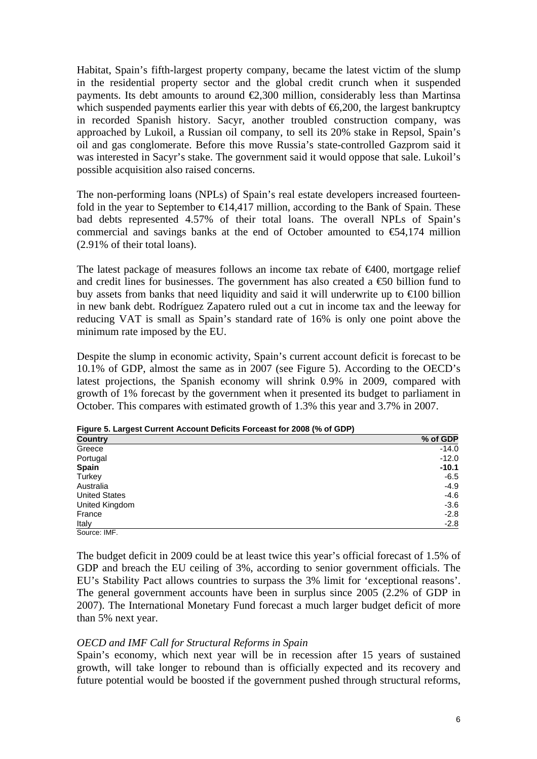Habitat, Spain's fifth-largest property company, became the latest victim of the slump in the residential property sector and the global credit crunch when it suspended payments. Its debt amounts to around  $\epsilon$ 2,300 million, considerably less than Martinsa which suspended payments earlier this year with debts of  $\epsilon$ 6,200, the largest bankruptcy in recorded Spanish history. Sacyr, another troubled construction company, was approached by Lukoil, a Russian oil company, to sell its 20% stake in Repsol, Spain's oil and gas conglomerate. Before this move Russia's state-controlled Gazprom said it was interested in Sacyr's stake. The government said it would oppose that sale. Lukoil's possible acquisition also raised concerns.

The non-performing loans (NPLs) of Spain's real estate developers increased fourteenfold in the year to September to  $\in$  14,417 million, according to the Bank of Spain. These bad debts represented 4.57% of their total loans. The overall NPLs of Spain's commercial and savings banks at the end of October amounted to  $\epsilon$ 54,174 million (2.91% of their total loans).

The latest package of measures follows an income tax rebate of  $\epsilon 400$ , mortgage relief and credit lines for businesses. The government has also created a  $\epsilon$  60 billion fund to buy assets from banks that need liquidity and said it will underwrite up to  $\epsilon 100$  billion in new bank debt. Rodríguez Zapatero ruled out a cut in income tax and the leeway for reducing VAT is small as Spain's standard rate of 16% is only one point above the minimum rate imposed by the EU.

Despite the slump in economic activity, Spain's current account deficit is forecast to be 10.1% of GDP, almost the same as in 2007 (see Figure 5). According to the OECD's latest projections, the Spanish economy will shrink 0.9% in 2009, compared with growth of 1% forecast by the government when it presented its budget to parliament in October. This compares with estimated growth of 1.3% this year and 3.7% in 2007.

| <b>Country</b>       | % of GDP |
|----------------------|----------|
| Greece               | $-14.0$  |
| Portugal             | $-12.0$  |
| <b>Spain</b>         | $-10.1$  |
| Turkey               | $-6.5$   |
| Australia            | $-4.9$   |
| <b>United States</b> | $-4.6$   |
| United Kingdom       | $-3.6$   |
| France               | $-2.8$   |
| Italy                | $-2.8$   |
| Source: IMF.         |          |

**Figure 5. Largest Current Account Deficits Forceast for 2008 (% of GDP)** 

The budget deficit in 2009 could be at least twice this year's official forecast of 1.5% of GDP and breach the EU ceiling of 3%, according to senior government officials. The EU's Stability Pact allows countries to surpass the 3% limit for 'exceptional reasons'. The general government accounts have been in surplus since 2005 (2.2% of GDP in 2007). The International Monetary Fund forecast a much larger budget deficit of more than 5% next year.

### *OECD and IMF Call for Structural Reforms in Spain*

Spain's economy, which next year will be in recession after 15 years of sustained growth, will take longer to rebound than is officially expected and its recovery and future potential would be boosted if the government pushed through structural reforms,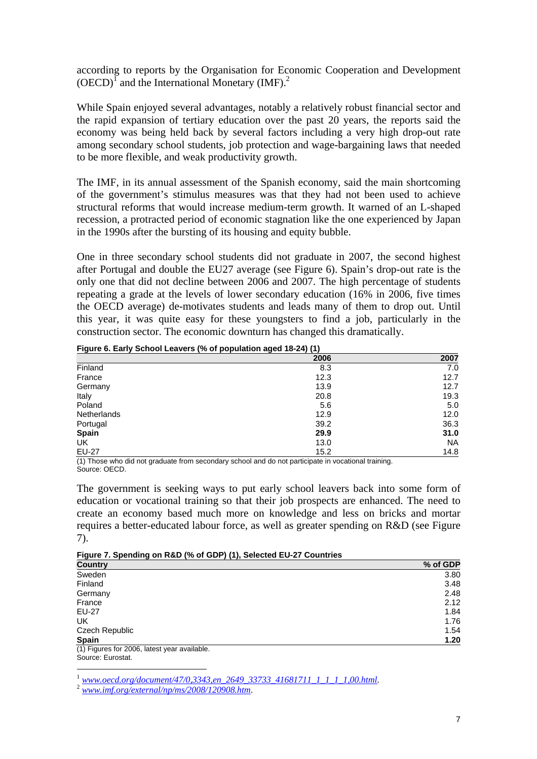according to reports by the Organisation for Economic Cooperation and Development  $(OECD)^{T}$  and the International Monetary (IMF).<sup>2</sup>

While Spain enjoyed several advantages, notably a relatively robust financial sector and the rapid expansion of tertiary education over the past 20 years, the reports said the economy was being held back by several factors including a very high drop-out rate among secondary school students, job protection and wage-bargaining laws that needed to be more flexible, and weak productivity growth.

The IMF, in its annual assessment of the Spanish economy, said the main shortcoming of the government's stimulus measures was that they had not been used to achieve structural reforms that would increase medium-term growth. It warned of an L-shaped recession, a protracted period of economic stagnation like the one experienced by Japan in the 1990s after the bursting of its housing and equity bubble.

One in three secondary school students did not graduate in 2007, the second highest after Portugal and double the EU27 average (see Figure 6). Spain's drop-out rate is the only one that did not decline between 2006 and 2007. The high percentage of students repeating a grade at the levels of lower secondary education (16% in 2006, five times the OECD average) de-motivates students and leads many of them to drop out. Until this year, it was quite easy for these youngsters to find a job, particularly in the construction sector. The economic downturn has changed this dramatically.

|              | 2006 | 2007      |
|--------------|------|-----------|
| Finland      | 8.3  | 7.0       |
| France       | 12.3 | 12.7      |
| Germany      | 13.9 | 12.7      |
| Italy        | 20.8 | 19.3      |
| Poland       | 5.6  | 5.0       |
| Netherlands  | 12.9 | 12.0      |
| Portugal     | 39.2 | 36.3      |
| <b>Spain</b> | 29.9 | 31.0      |
| UK           | 13.0 | <b>NA</b> |
| <b>EU-27</b> | 15.2 | 14.8      |

**Figure 6. Early School Leavers (% of population aged 18-24) (1)** 

(1) Those who did not graduate from secondary school and do not participate in vocational training. Source: OECD.

The government is seeking ways to put early school leavers back into some form of education or vocational training so that their job prospects are enhanced. The need to create an economy based much more on knowledge and less on bricks and mortar requires a better-educated labour force, as well as greater spending on R&D (see Figure 7).

|  | Figure 7. Spending on R&D (% of GDP) (1), Selected EU-27 Countries |
|--|--------------------------------------------------------------------|
|  |                                                                    |

| <b>Country</b>                               | % of GDP |
|----------------------------------------------|----------|
| Sweden                                       | 3.80     |
| Finland                                      | 3.48     |
| Germany                                      | 2.48     |
| France                                       | 2.12     |
| EU-27                                        | 1.84     |
| UK                                           | 1.76     |
| Czech Republic                               | 1.54     |
| <b>Spain</b>                                 | 1.20     |
| (1) Figures for 2006, latest year available. |          |

Source: Eurostat.  $\overline{a}$ 

<sup>1</sup> *www.oecd.org/document/47/0,3343,en\_2649\_33733\_41681711\_1\_1\_1\_1,00.html.* <sup>2</sup> *www.imf.org/external/np/ms/2008/120908.htm*.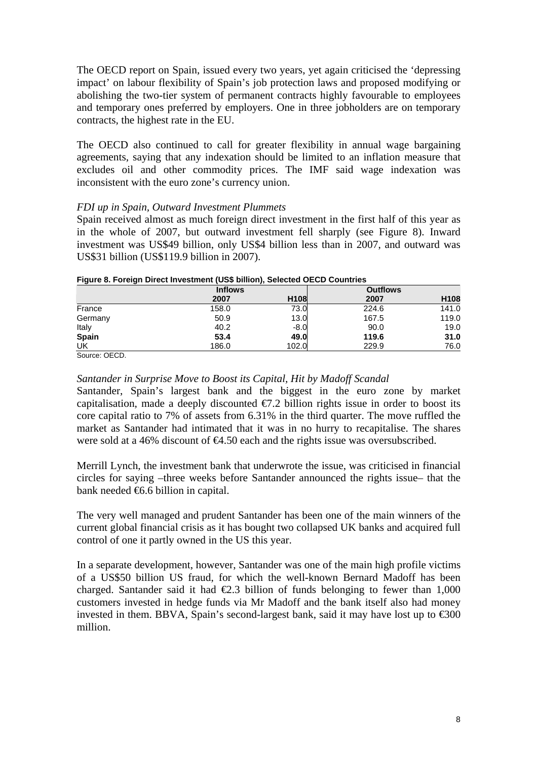The OECD report on Spain, issued every two years, yet again criticised the 'depressing impact' on labour flexibility of Spain's job protection laws and proposed modifying or abolishing the two-tier system of permanent contracts highly favourable to employees and temporary ones preferred by employers. One in three jobholders are on temporary contracts, the highest rate in the EU.

The OECD also continued to call for greater flexibility in annual wage bargaining agreements, saying that any indexation should be limited to an inflation measure that excludes oil and other commodity prices. The IMF said wage indexation was inconsistent with the euro zone's currency union.

### *FDI up in Spain, Outward Investment Plummets*

Spain received almost as much foreign direct investment in the first half of this year as in the whole of 2007, but outward investment fell sharply (see Figure 8). Inward investment was US\$49 billion, only US\$4 billion less than in 2007, and outward was US\$31 billion (US\$119.9 billion in 2007).

| <b>Inflows</b> | .      | <b>Outflows</b> |       |
|----------------|--------|-----------------|-------|
| 2007           | H108   | 2007            | H108  |
| 158.0          | 73.0   | 224.6           | 141.0 |
| 50.9           | 13.0   | 167.5           | 119.0 |
| 40.2           | $-8.0$ | 90.0            | 19.0  |
| 53.4           | 49.0   | 119.6           | 31.0  |
| 186.0          | 102.0  | 229.9           | 76.0  |
|                |        |                 |       |

#### **Figure 8. Foreign Direct Investment (US\$ billion), Selected OECD Countries**

Source: OECD.

#### *Santander in Surprise Move to Boost its Capital, Hit by Madoff Scandal*

Santander, Spain's largest bank and the biggest in the euro zone by market capitalisation, made a deeply discounted  $\epsilon$ . 2 billion rights issue in order to boost its core capital ratio to 7% of assets from 6.31% in the third quarter. The move ruffled the market as Santander had intimated that it was in no hurry to recapitalise. The shares were sold at a 46% discount of €4.50 each and the rights issue was oversubscribed.

Merrill Lynch, the investment bank that underwrote the issue, was criticised in financial circles for saying –three weeks before Santander announced the rights issue– that the bank needed  $\bigoplus$  6.6 billion in capital.

The very well managed and prudent Santander has been one of the main winners of the current global financial crisis as it has bought two collapsed UK banks and acquired full control of one it partly owned in the US this year.

In a separate development, however, Santander was one of the main high profile victims of a US\$50 billion US fraud, for which the well-known Bernard Madoff has been charged. Santander said it had  $\epsilon 2.3$  billion of funds belonging to fewer than 1,000 customers invested in hedge funds via Mr Madoff and the bank itself also had money invested in them. BBVA, Spain's second-largest bank, said it may have lost up to  $\epsilon$ 300 million.